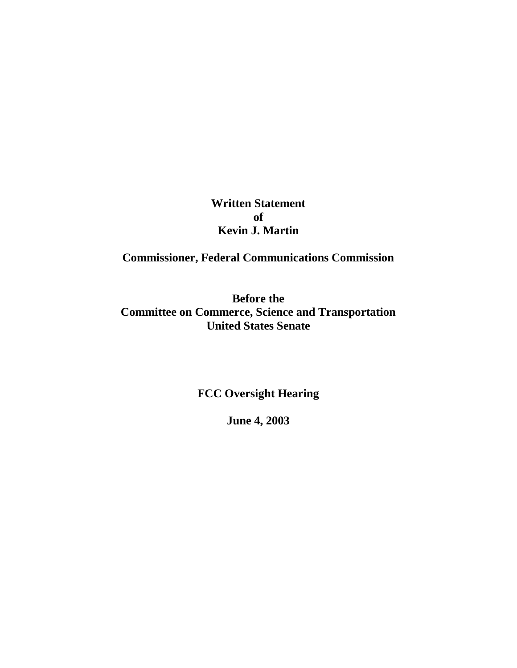**Written Statement of Kevin J. Martin**

**Commissioner, Federal Communications Commission**

**Before the Committee on Commerce, Science and Transportation United States Senate**

**FCC Oversight Hearing**

**June 4, 2003**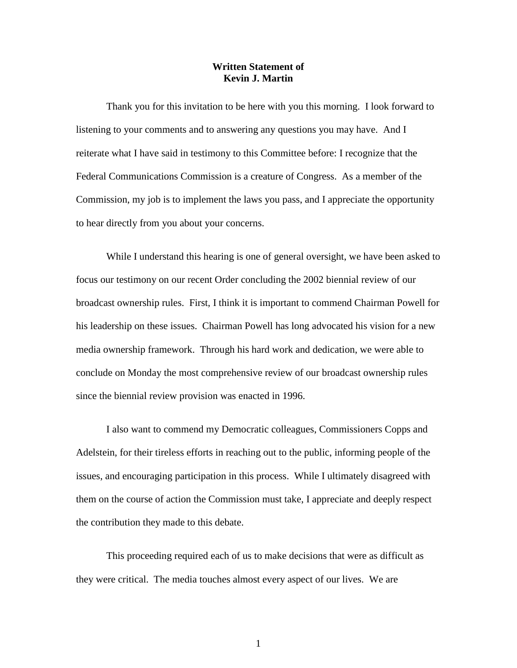## **Written Statement of Kevin J. Martin**

Thank you for this invitation to be here with you this morning. I look forward to listening to your comments and to answering any questions you may have. And I reiterate what I have said in testimony to this Committee before: I recognize that the Federal Communications Commission is a creature of Congress. As a member of the Commission, my job is to implement the laws you pass, and I appreciate the opportunity to hear directly from you about your concerns.

While I understand this hearing is one of general oversight, we have been asked to focus our testimony on our recent Order concluding the 2002 biennial review of our broadcast ownership rules. First, I think it is important to commend Chairman Powell for his leadership on these issues. Chairman Powell has long advocated his vision for a new media ownership framework. Through his hard work and dedication, we were able to conclude on Monday the most comprehensive review of our broadcast ownership rules since the biennial review provision was enacted in 1996.

I also want to commend my Democratic colleagues, Commissioners Copps and Adelstein, for their tireless efforts in reaching out to the public, informing people of the issues, and encouraging participation in this process. While I ultimately disagreed with them on the course of action the Commission must take, I appreciate and deeply respect the contribution they made to this debate.

This proceeding required each of us to make decisions that were as difficult as they were critical. The media touches almost every aspect of our lives. We are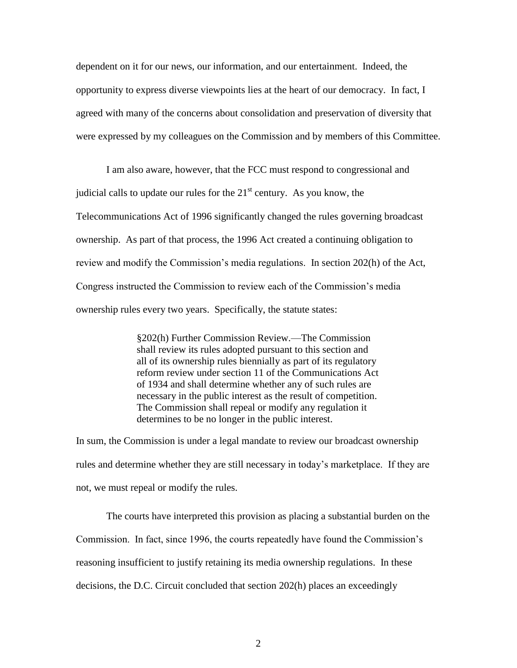dependent on it for our news, our information, and our entertainment. Indeed, the opportunity to express diverse viewpoints lies at the heart of our democracy. In fact, I agreed with many of the concerns about consolidation and preservation of diversity that were expressed by my colleagues on the Commission and by members of this Committee.

I am also aware, however, that the FCC must respond to congressional and judicial calls to update our rules for the  $21<sup>st</sup>$  century. As you know, the Telecommunications Act of 1996 significantly changed the rules governing broadcast ownership. As part of that process, the 1996 Act created a continuing obligation to review and modify the Commission"s media regulations. In section 202(h) of the Act, Congress instructed the Commission to review each of the Commission"s media ownership rules every two years. Specifically, the statute states:

> §202(h) Further Commission Review.—The Commission shall review its rules adopted pursuant to this section and all of its ownership rules biennially as part of its regulatory reform review under section 11 of the Communications Act of 1934 and shall determine whether any of such rules are necessary in the public interest as the result of competition. The Commission shall repeal or modify any regulation it determines to be no longer in the public interest.

In sum, the Commission is under a legal mandate to review our broadcast ownership rules and determine whether they are still necessary in today"s marketplace. If they are not, we must repeal or modify the rules.

The courts have interpreted this provision as placing a substantial burden on the Commission. In fact, since 1996, the courts repeatedly have found the Commission"s reasoning insufficient to justify retaining its media ownership regulations. In these decisions, the D.C. Circuit concluded that section 202(h) places an exceedingly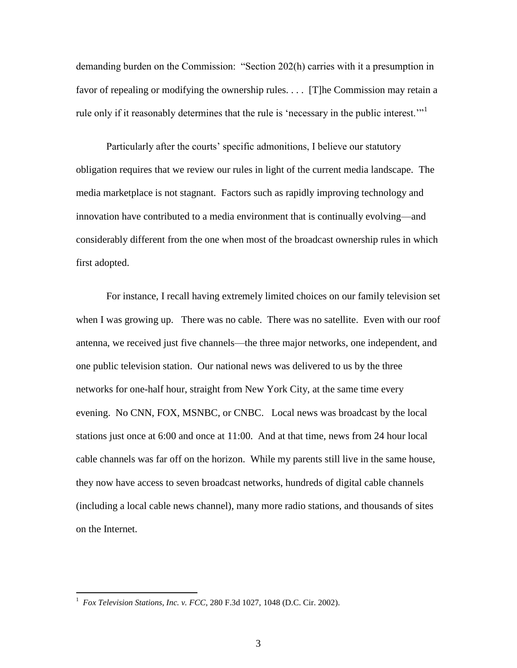demanding burden on the Commission: "Section 202(h) carries with it a presumption in favor of repealing or modifying the ownership rules. . . . [T]he Commission may retain a rule only if it reasonably determines that the rule is 'necessary in the public interest."<sup>1</sup>

Particularly after the courts' specific admonitions, I believe our statutory obligation requires that we review our rules in light of the current media landscape. The media marketplace is not stagnant. Factors such as rapidly improving technology and innovation have contributed to a media environment that is continually evolving—and considerably different from the one when most of the broadcast ownership rules in which first adopted.

For instance, I recall having extremely limited choices on our family television set when I was growing up. There was no cable. There was no satellite. Even with our roof antenna, we received just five channels—the three major networks, one independent, and one public television station. Our national news was delivered to us by the three networks for one-half hour, straight from New York City, at the same time every evening. No CNN, FOX, MSNBC, or CNBC. Local news was broadcast by the local stations just once at 6:00 and once at 11:00. And at that time, news from 24 hour local cable channels was far off on the horizon. While my parents still live in the same house, they now have access to seven broadcast networks, hundreds of digital cable channels (including a local cable news channel), many more radio stations, and thousands of sites on the Internet.

 1 *Fox Television Stations, Inc. v. FCC*, 280 F.3d 1027, 1048 (D.C. Cir. 2002).